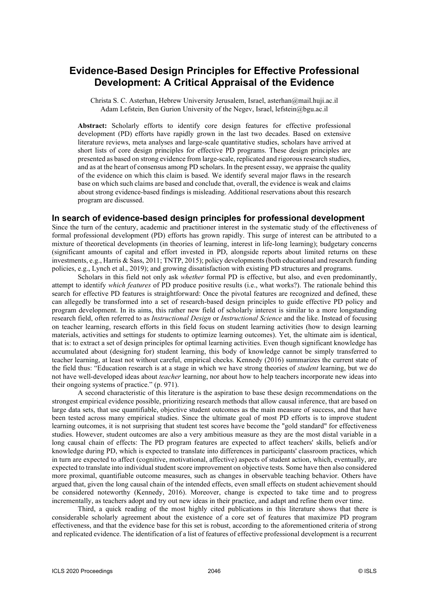# **Evidence-Based Design Principles for Effective Professional Development: A Critical Appraisal of the Evidence**

Christa S. C. Asterhan, Hebrew University Jerusalem, Israel, asterhan@mail.huji.ac.il Adam Lefstein, Ben Gurion University of the Negev, Israel, lefstein@bgu.ac.il

**Abstract:** Scholarly efforts to identify core design features for effective professional development (PD) efforts have rapidly grown in the last two decades. Based on extensive literature reviews, meta analyses and large-scale quantitative studies, scholars have arrived at short lists of core design principles for effective PD programs. These design principles are presented as based on strong evidence from large-scale, replicated and rigorous research studies, and as at the heart of consensus among PD scholars. In the present essay, we appraise the quality of the evidence on which this claim is based. We identify several major flaws in the research base on which such claims are based and conclude that, overall, the evidence is weak and claims about strong evidence-based findings is misleading. Additional reservations about this research program are discussed.

### **In search of evidence-based design principles for professional development**

Since the turn of the century, academic and practitioner interest in the systematic study of the effectiveness of formal professional development (PD) efforts has grown rapidly. This surge of interest can be attributed to a mixture of theoretical developments (in theories of learning, interest in life-long learning); budgetary concerns (significant amounts of capital and effort invested in PD, alongside reports about limited returns on these investments, e.g., Harris & Sass, 2011; TNTP, 2015); policy developments (both educational and research funding policies, e.g., Lynch et al., 2019); and growing dissatisfaction with existing PD structures and programs.

Scholars in this field not only ask *whether* formal PD is effective, but also, and even predominantly, attempt to identify *which features* of PD produce positive results (i.e., what works?). The rationale behind this search for effective PD features is straightforward: Once the pivotal features are recognized and defined, these can allegedly be transformed into a set of research-based design principles to guide effective PD policy and program development. In its aims, this rather new field of scholarly interest is similar to a more longstanding research field, often referred to as *Instructional Design* or *Instructional Science* and the like. Instead of focusing on teacher learning, research efforts in this field focus on student learning activities (how to design learning materials, activities and settings for students to optimize learning outcomes). Yet, the ultimate aim is identical, that is: to extract a set of design principles for optimal learning activities. Even though significant knowledge has accumulated about (designing for) student learning, this body of knowledge cannot be simply transferred to teacher learning, at least not without careful, empirical checks. Kennedy (2016) summarizes the current state of the field thus: "Education research is at a stage in which we have strong theories of *student* learning, but we do not have well-developed ideas about *teacher* learning, nor about how to help teachers incorporate new ideas into their ongoing systems of practice." (p. 971).

A second characteristic of this literature is the aspiration to base these design recommendations on the strongest empirical evidence possible, prioritizing research methods that allow causal inference, that are based on large data sets, that use quantifiable, objective student outcomes as the main measure of success, and that have been tested across many empirical studies. Since the ultimate goal of most PD efforts is to improve student learning outcomes, it is not surprising that student test scores have become the "gold standard" for effectiveness studies. However, student outcomes are also a very ambitious measure as they are the most distal variable in a long causal chain of effects: The PD program features are expected to affect teachers' skills, beliefs and/or knowledge during PD, which is expected to translate into differences in participants' classroom practices, which in turn are expected to affect (cognitive, motivational, affective) aspects of student action, which, eventually, are expected to translate into individual student score improvement on objective tests. Some have then also considered more proximal, quantifiable outcome measures, such as changes in observable teaching behavior. Others have argued that, given the long causal chain of the intended effects, even small effects on student achievement should be considered noteworthy (Kennedy, 2016). Moreover, change is expected to take time and to progress incrementally, as teachers adopt and try out new ideas in their practice, and adapt and refine them over time.

Third, a quick reading of the most highly cited publications in this literature shows that there is considerable scholarly agreement about the existence of a core set of features that maximize PD program effectiveness, and that the evidence base for this set is robust, according to the aforementioned criteria of strong and replicated evidence. The identification of a list of features of effective professional development is a recurrent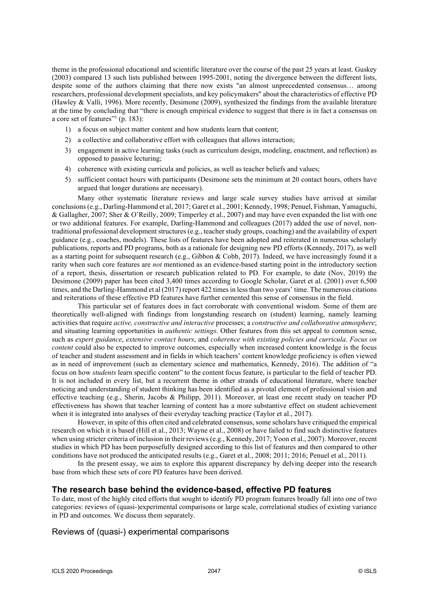theme in the professional educational and scientific literature over the course of the past 25 years at least. Guskey (2003) compared 13 such lists published between 1995-2001, noting the divergence between the different lists, despite some of the authors claiming that there now exists "an almost unprecedented consensus… among researchers, professional development specialists, and key policymakers" about the characteristics of effective PD (Hawley & Valli, 1996). More recently, Desimone (2009), synthesized the findings from the available literature at the time by concluding that "there is enough empirical evidence to suggest that there is in fact a consensus on a core set of features"<sup>1</sup> (p. 183):

- 1) a focus on subject matter content and how students learn that content;
- 2) a collective and collaborative effort with colleagues that allows interaction;
- 3) engagement in active learning tasks (such as curriculum design, modeling, enactment, and reflection) as opposed to passive lecturing;
- 4) coherence with existing curricula and policies, as well as teacher beliefs and values;
- 5) sufficient contact hours with participants (Desimone sets the minimum at 20 contact hours, others have argued that longer durations are necessary).

Many other systematic literature reviews and large scale survey studies have arrived at similar conclusions (e.g., Darling-Hammond et al, 2017; Garet et al., 2001; Kennedy, 1998; Penuel, Fishman, Yamaguchi, & Gallagher, 2007; Sher & O'Reilly, 2009; Timperley et al., 2007) and may have even expanded the list with one or two additional features. For example, Darling-Hammond and colleagues (2017) added the use of novel, nontraditional professional development structures (e.g., teacher study groups, coaching) and the availability of expert guidance (e.g., coaches, models). These lists of features have been adopted and reiterated in numerous scholarly publications, reports and PD programs, both as a rationale for designing new PD efforts (Kennedy, 2017), as well as a starting point for subsequent research (e.g., Gibbon & Cobb, 2017). Indeed, we have increasingly found it a rarity when such core features are *not* mentioned as an evidence-based starting point in the introductory section of a report, thesis, dissertation or research publication related to PD. For example, to date (Nov, 2019) the Desimone (2009) paper has been cited 3,400 times according to Google Scholar, Garet et al. (2001) over 6,500 times, and the Darling-Hammond et al (2017) report 422 times in less than two years' time. The numerous citations and reiterations of these effective PD features have further cemented this sense of consensus in the field.

This particular set of features does in fact corroborate with conventional wisdom. Some of them are theoretically well-aligned with findings from longstanding research on (student) learning, namely learning activities that require *active, constructive and interactive* processes; a *constructive and collaborative atmosphere*; and situating learning opportunities in *authentic settings*. Other features from this set appeal to common sense, such as *expert guidance*, *extensive contact hours*, and *coherence with existing policies and curricula*. *Focus on content* could also be expected to improve outcomes, especially when increased content knowledge is the focus of teacher and student assessment and in fields in which teachers' content knowledge proficiency is often viewed as in need of improvement (such as elementary science and mathematics, Kennedy, 2016). The addition of "a focus on how *students* learn specific content" to the content focus feature, is particular to the field of teacher PD. It is not included in every list, but a recurrent theme in other strands of educational literature, where teacher noticing and understanding of student thinking has been identified as a pivotal element of professional vision and effective teaching (e.g., Sherin, Jacobs & Philipp, 2011). Moreover, at least one recent study on teacher PD effectiveness has shown that teacher learning of content has a more substantive effect on student achievement when it is integrated into analyses of their everyday teaching practice (Taylor et al., 2017).

However, in spite of this often cited and celebrated consensus, some scholars have critiqued the empirical research on which it is based (Hill et al., 2013; Wayne et al., 2008) or have failed to find such distinctive features when using stricter criteria of inclusion in their reviews (e.g., Kennedy, 2017; Yoon et al., 2007). Moreover, recent studies in which PD has been purposefully designed according to this list of features and then compared to other conditions have not produced the anticipated results (e.g., Garet et al., 2008; 2011; 2016; Penuel et al., 2011).

In the present essay, we aim to explore this apparent discrepancy by delving deeper into the research base from which these sets of core PD features have been derived.

## **The research base behind the evidence-based, effective PD features**

To date, most of the highly cited efforts that sought to identify PD program features broadly fall into one of two categories: reviews of (quasi-)experimental comparisons or large scale, correlational studies of existing variance in PD and outcomes. We discuss them separately.

## Reviews of (quasi-) experimental comparisons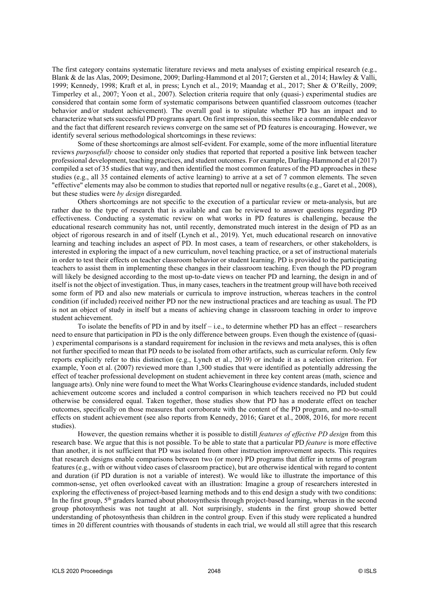The first category contains systematic literature reviews and meta analyses of existing empirical research (e.g., Blank & de las Alas, 2009; Desimone, 2009; Darling-Hammond et al 2017; Gersten et al., 2014; Hawley & Valli, 1999; Kennedy, 1998; Kraft et al, in press; Lynch et al., 2019; Maandag et al., 2017; Sher & O'Reilly, 2009; Timperley et al., 2007; Yoon et al., 2007). Selection criteria require that only (quasi-) experimental studies are considered that contain some form of systematic comparisons between quantified classroom outcomes (teacher behavior and/or student achievement). The overall goal is to stipulate whether PD has an impact and to characterize what sets successful PD programs apart. On first impression, this seems like a commendable endeavor and the fact that different research reviews converge on the same set of PD features is encouraging. However, we identify several serious methodological shortcomings in these reviews:

Some of these shortcomings are almost self-evident. For example, some of the more influential literature reviews *purposefully* choose to consider only studies that reported that reported a positive link between teacher professional development, teaching practices, and student outcomes. For example, Darling-Hammond et al (2017) compiled a set of 35 studies that way, and then identified the most common features of the PD approaches in these studies (e.g., all 35 contained elements of active learning) to arrive at a set of 7 common elements. The seven "effective" elements may also be common to studies that reported null or negative results (e.g., Garet et al., 2008), but these studies were *by design* disregarded.

Others shortcomings are not specific to the execution of a particular review or meta-analysis, but are rather due to the type of research that is available and can be reviewed to answer questions regarding PD effectiveness. Conducting a systematic review on what works in PD features is challenging, because the educational research community has not, until recently, demonstrated much interest in the design of PD as an object of rigorous research in and of itself (Lynch et al., 2019). Yet, much educational research on innovative learning and teaching includes an aspect of PD. In most cases, a team of researchers, or other stakeholders, is interested in exploring the impact of a new curriculum, novel teaching practice, or a set of instructional materials in order to test their effects on teacher classroom behavior or student learning. PD is provided to the participating teachers to assist them in implementing these changes in their classroom teaching. Even though the PD program will likely be designed according to the most up-to-date views on teacher PD and learning, the design in and of itself is not the object of investigation. Thus, in many cases, teachers in the treatment group will have both received some form of PD and also new materials or curricula to improve instruction, whereas teachers in the control condition (if included) received neither PD nor the new instructional practices and are teaching as usual. The PD is not an object of study in itself but a means of achieving change in classroom teaching in order to improve student achievement.

To isolate the benefits of PD in and by itself – i.e., to determine whether PD has an effect – researchers need to ensure that participation in PD is the only difference between groups. Even though the existence of (quasi- ) experimental comparisons is a standard requirement for inclusion in the reviews and meta analyses, this is often not further specified to mean that PD needs to be isolated from other artifacts, such as curricular reform. Only few reports explicitly refer to this distinction (e.g., Lynch et al., 2019) or include it as a selection criterion. For example, Yoon et al. (2007) reviewed more than 1,300 studies that were identified as potentially addressing the effect of teacher professional development on student achievement in three key content areas (math, science and language arts). Only nine were found to meet the What Works Clearinghouse evidence standards, included student achievement outcome scores and included a control comparison in which teachers received no PD but could otherwise be considered equal. Taken together, those studies show that PD has a moderate effect on teacher outcomes, specifically on those measures that corroborate with the content of the PD program, and no-to-small effects on student achievement (see also reports from Kennedy, 2016; Garet et al., 2008, 2016, for more recent studies).

However, the question remains whether it is possible to distill *features of effective PD design* from this research base. We argue that this is not possible. To be able to state that a particular PD *feature* is more effective than another, it is not sufficient that PD was isolated from other instruction improvement aspects. This requires that research designs enable comparisons between two (or more) PD programs that differ in terms of program features (e.g., with or without video cases of classroom practice), but are otherwise identical with regard to content and duration (if PD duration is not a variable of interest). We would like to illustrate the importance of this common-sense, yet often overlooked caveat with an illustration: Imagine a group of researchers interested in exploring the effectiveness of project-based learning methods and to this end design a study with two conditions: In the first group, 5<sup>th</sup> graders learned about photosynthesis through project-based learning, whereas in the second group photosynthesis was not taught at all. Not surprisingly, students in the first group showed better understanding of photosynthesis than children in the control group. Even if this study were replicated a hundred times in 20 different countries with thousands of students in each trial, we would all still agree that this research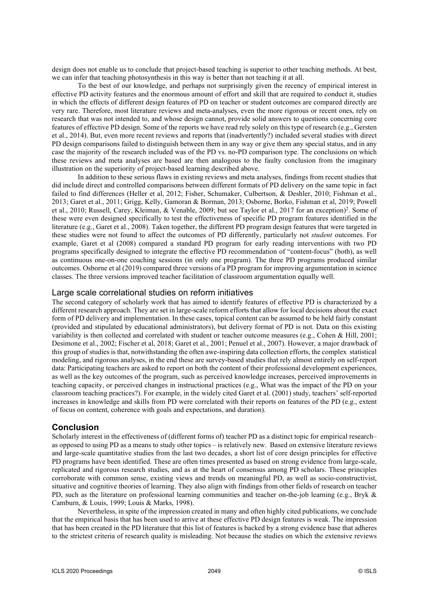design does not enable us to conclude that project-based teaching is superior to other teaching methods. At best, we can infer that teaching photosynthesis in this way is better than not teaching it at all.

To the best of our knowledge, and perhaps not surprisingly given the recency of empirical interest in effective PD activity features and the enormous amount of effort and skill that are required to conduct it, studies in which the effects of different design features of PD on teacher or student outcomes are compared directly are very rare. Therefore, most literature reviews and meta-analyses, even the more rigorous or recent ones, rely on research that was not intended to, and whose design cannot, provide solid answers to questions concerning core features of effective PD design. Some of the reports we have read rely solely on this type of research (e.g., Gersten et al., 2014). But, even more recent reviews and reports that (inadvertently?) included several studies with direct PD design comparisons failed to distinguish between them in any way or give them any special status, and in any case the majority of the research included was of the PD vs. no-PD comparison type. The conclusions on which these reviews and meta analyses are based are then analogous to the faulty conclusion from the imaginary illustration on the superiority of project-based learning described above.

In addition to these serious flaws in existing reviews and meta analyses, findings from recent studies that did include direct and controlled comparisons between different formats of PD delivery on the same topic in fact failed to find differences (Heller et al, 2012; Fisher, Schumaker, Culbertson, & Deshler, 2010; Fishman et al., 2013; Garet et al., 2011; Grigg, Kelly, Gamoran & Borman, 2013; Osborne, Borko, Fishman et al, 2019; Powell et al., 2010; Russell, Carey, Kleiman, & Venable, 2009; but see Taylor et al., 2017 for an exception) 2 . Some of these were even designed specifically to test the effectiveness of specific PD program features identified in the literature (e.g., Garet et al., 2008). Taken together, the different PD program design features that were targeted in these studies were not found to affect the outcomes of PD differently, particularly not *student* outcomes. For example, Garet et al (2008) compared a standard PD program for early reading interventions with two PD programs specifically designed to integrate the effective PD recommendation of "content-focus" (both), as well as continuous one-on-one coaching sessions (in only one program). The three PD programs produced similar outcomes. Osborne et al (2019) compared three versions of a PD program for improving argumentation in science classes. The three versions improved teacher facilitation of classroom argumentation equally well.

### Large scale correlational studies on reform initiatives

The second category of scholarly work that has aimed to identify features of effective PD is characterized by a different research approach. They are set in large-scale reform efforts that allow for local decisions about the exact form of PD delivery and implementation. In these cases, topical content can be assumed to be held fairly constant (provided and stipulated by educational administrators), but delivery format of PD is not. Data on this existing variability is then collected and correlated with student or teacher outcome measures (e.g., Cohen & Hill, 2001; Desimone et al., 2002; Fischer et al, 2018; Garet et al., 2001; Penuel et al., 2007). However, a major drawback of this group of studies is that, notwithstanding the often awe-inspiring data collection efforts, the complex statistical modeling, and rigorous analyses, in the end these are survey-based studies that rely almost entirely on self-report data: Participating teachers are asked to report on both the content of their professional development experiences, as well as the key outcomes of the program, such as perceived knowledge increases, perceived improvements in teaching capacity, or perceived changes in instructional practices (e.g., What was the impact of the PD on your classroom teaching practices?). For example, in the widely cited Garet et al. (2001) study, teachers' self-reported increases in knowledge and skills from PD were correlated with their reports on features of the PD (e.g., extent of focus on content, coherence with goals and expectations, and duration).

## **Conclusion**

Scholarly interest in the effectiveness of (different forms of) teacher PD as a distinct topic for empirical research– as opposed to using PD as a means to study other topics – is relatively new. Based on extensive literature reviews and large-scale quantitative studies from the last two decades, a short list of core design principles for effective PD programs have been identified. These are often times presented as based on strong evidence from large-scale, replicated and rigorous research studies, and as at the heart of consensus among PD scholars. These principles corroborate with common sense, existing views and trends on meaningful PD, as well as socio-constructivist, situative and cognitive theories of learning. They also align with findings from other fields of research on teacher PD, such as the literature on professional learning communities and teacher on-the-job learning (e.g., Bryk & Camburn, & Louis, 1999; Louis & Marks, 1998).

Nevertheless, in spite of the impression created in many and often highly cited publications, we conclude that the empirical basis that has been used to arrive at these effective PD design features is weak. The impression that has been created in the PD literature that this list of features is backed by a strong evidence base that adheres to the strictest criteria of research quality is misleading. Not because the studies on which the extensive reviews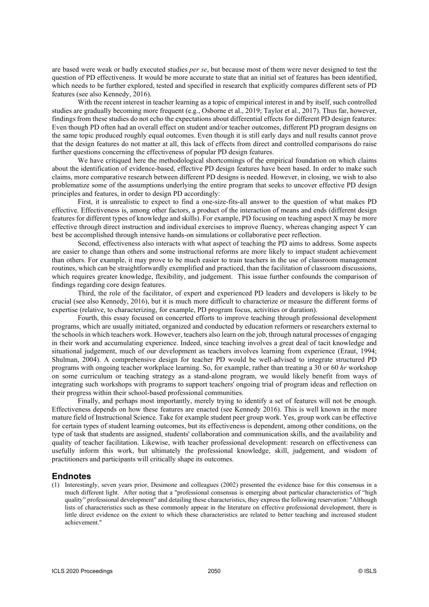are based were weak or badly executed studies *per se*, but because most of them were never designed to test the question of PD effectiveness. It would be more accurate to state that an initial set of features has been identified, which needs to be further explored, tested and specified in research that explicitly compares different sets of PD features (see also Kennedy, 2016).

With the recent interest in teacher learning as a topic of empirical interest in and by itself, such controlled studies are gradually becoming more frequent (e.g., Osborne et al., 2019; Taylor et al., 2017). Thus far, however, findings from these studies do not echo the expectations about differential effects for different PD design features: Even though PD often had an overall effect on student and/or teacher outcomes, different PD program designs on the same topic produced roughly equal outcomes. Even though it is still early days and null results cannot prove that the design features do not matter at all, this lack of effects from direct and controlled comparisons do raise further questions concerning the effectiveness of popular PD design features.

We have critiqued here the methodological shortcomings of the empirical foundation on which claims about the identification of evidence-based, effective PD design features have been based. In order to make such claims, more comparative research between different PD designs is needed. However, in closing, we wish to also problematize some of the assumptions underlying the entire program that seeks to uncover effective PD design principles and features, in order to design PD accordingly:

First, it is unrealistic to expect to find a one-size-fits-all answer to the question of what makes PD effective. Effectiveness is, among other factors, a product of the interaction of means and ends (different design features for different types of knowledge and skills). For example, PD focusing on teaching aspect X may be more effective through direct instruction and individual exercises to improve fluency, whereas changing aspect Y can best be accomplished through intensive hands-on simulations or collaborative peer reflection.

Second, effectiveness also interacts with what aspect of teaching the PD aims to address. Some aspects are easier to change than others and some instructional reforms are more likely to impact student achievement than others. For example, it may prove to be much easier to train teachers in the use of classroom management routines, which can be straightforwardly exemplified and practiced, than the facilitation of classroom discussions, which requires greater knowledge, flexibility, and judgement. This issue further confounds the comparison of findings regarding core design features.

Third, the role of the facilitator, of expert and experienced PD leaders and developers is likely to be crucial (see also Kennedy, 2016), but it is much more difficult to characterize or measure the different forms of expertise (relative, to characterizing, for example, PD program focus, activities or duration).

Fourth, this essay focused on concerted efforts to improve teaching through professional development programs, which are usually initiated, organized and conducted by education reformers or researchers external to the schools in which teachers work. However, teachers also learn on the job, through natural processes of engaging in their work and accumulating experience. Indeed, since teaching involves a great deal of tacit knowledge and situational judgement, much of our development as teachers involves learning from experience (Eraut, 1994; Shulman, 2004). A comprehensive design for teacher PD would be well-advised to integrate structured PD programs with ongoing teacher workplace learning. So, for example, rather than treating a 30 or 60 *hr* workshop on some curriculum or teaching strategy as a stand-alone program, we would likely benefit from ways of integrating such workshops with programs to support teachers' ongoing trial of program ideas and reflection on their progress within their school-based professional communities.

Finally, and perhaps most importantly, merely trying to identify a set of features will not be enough. Effectiveness depends on how these features are enacted (see Kennedy 2016). This is well known in the more mature field of Instructional Science. Take for example student peer group work. Yes, group work can be effective for certain types of student learning outcomes, but its effectiveness is dependent, among other conditions, on the type of task that students are assigned, students' collaboration and communication skills, and the availability and quality of teacher facilitation. Likewise, with teacher professional development: research on effectiveness can usefully inform this work, but ultimately the professional knowledge, skill, judgement, and wisdom of practitioners and participants will critically shape its outcomes.

## **Endnotes**

(1) Interestingly, seven years prior, Desimone and colleagues (2002) presented the evidence base for this consensus in a much different light. After noting that a "professional consensus is emerging about particular characteristics of "high quality" professional development" and detailing these characteristics, they express the following reservation: "Although lists of characteristics such as these commonly appear in the literature on effective professional development, there is little direct evidence on the extent to which these characteristics are related to better teaching and increased student achievement."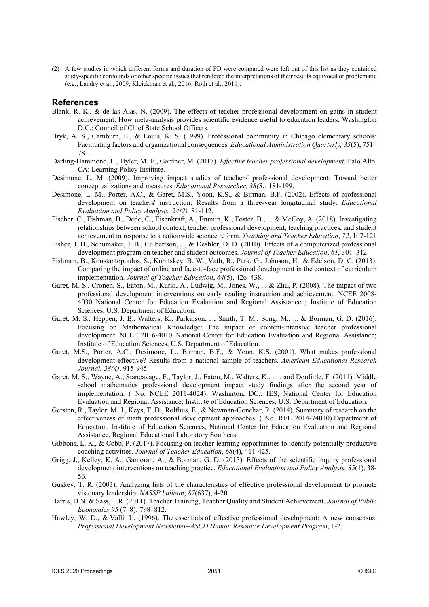(2) A few studies in which different forms and duration of PD were compared were left out of this list as they contained study-specific confounds or other specific issues that rendered the interpretations of their results equivocal or problematic (e.g., Landry et al., 2009; Kleickman et al., 2016; Roth et al., 2011).

#### **References**

- Blank, R. K., & de las Alas, N. (2009). The effects of teacher professional development on gains in student achievement: How meta-analysis provides scientific evidence useful to education leaders. Washington D.C.: Council of Chief State School Officers.
- Bryk, A. S., Camburn, E., & Louis, K. S. (1999). Professional community in Chicago elementary schools: Facilitating factors and organizational consequences. *Educational Administration Quarterly, 35*(5), 751– 781.
- Darling-Hammond, L., Hyler, M. E., Gardner, M. (2017). *Effective teacher professional development.* Palo Alto, CA: Learning Policy Institute.
- Desimone, L. M. (2009). Improving impact studies of teachers' professional development: Toward better conceptualizations and measures. *Educational Researcher, 38(3)*, 181-199.
- Desimone, L. M., Porter, A.C., & Garet, M.S., Yoon, K.S., & Birman, B.F. (2002). Effects of professional development on teachers' instruction: Results from a three-year longitudinal study. *Educational Evaluation and Policy Analysis, 24(2),* 81-112.
- Fischer, C., Fishman, B., Dede, C., Eisenkraft, A., Frumin, K., Foster, B., ... & McCoy, A. (2018). Investigating relationships between school context, teacher professional development, teaching practices, and student achievement in response to a nationwide science reform. *Teaching and Teacher Education*, *72*, 107-121
- Fisher, J. B., Schumaker, J. B., Culbertson, J., & Deshler, D. D. (2010). Effects of a computerized professional development program on teacher and student outcomes. *Journal of Teacher Education*, *61*, 301–312.
- Fishman, B., Konstantopoulos, S., Kubitskey, B. W., Vath, R., Park, G., Johnson, H., & Edelson, D. C. (2013). Comparing the impact of online and face-to-face professional development in the context of curriculum implementation. *Journal of Teacher Education*, *64*(5), 426–438.
- Garet, M. S., Cronen, S., Eaton, M., Kurki, A., Ludwig, M., Jones, W., ... & Zhu, P. (2008). The impact of two professional development interventions on early reading instruction and achievement. NCEE 2008- 4030. National Center for Education Evaluation and Regional Assistance ; Institute of Education Sciences, U.S. Department of Education.
- Garet, M. S., Heppen, J. B., Walters, K., Parkinson, J., Smith, T. M., Song, M., ... & Borman, G. D. (2016). Focusing on Mathematical Knowledge: The impact of content-intensive teacher professional development. NCEE 2016-4010. National Center for Education Evaluation and Regional Assistance; Institute of Education Sciences, U.S. Department of Education.
- Garet, M.S., Porter, A.C., Desimone, L., Birman, B.F., & Yoon, K.S. (2001). What makes professional development effective? Results from a national sample of teachers. *American Educational Research Journal, 38(4)*, 915-945.
- Garet, M. S., Wayne, A., Stancavage, F., Taylor, J., Eaton, M., Walters, K., . . . and Doolittle, F. (2011). Middle school mathematics professional development impact study findings after the second year of implementation. ( No. NCEE 2011-4024). Washinton, DC.: IES; National Center for Education Evaluation and Regional Assistance; Institute of Education Sciences, U.S. Department of Education.
- Gersten, R., Taylor, M. J., Keys, T. D., Rolfhus, E., & Newman-Gonchar, R. (2014). Summary of research on the effectiveness of math professional development approaches. ( No. REL 2014-74010).Department of Education, Institute of Education Sciences, National Center for Education Evaluation and Regional Assistance, Regional Educational Laboratory Southeast.
- Gibbons, L. K., & Cobb, P. (2017). Focusing on teacher learning opportunities to identify potentially productive coaching activities. *Journal of Teacher Education*, *68*(4), 411-425.
- Grigg, J., Kelley, K. A., Gamoran, A., & Borman, G. D. (2013). Effects of the scientific inquiry professional development interventions on teaching practice. *Educational Evaluation and Policy Analysis, 35*(1), 38- 56.
- Guskey, T. R. (2003). Analyzing lists of the characteristics of effective professional development to promote visionary leadership. *NASSP bulletin*, *87*(637), 4-20.
- Harris, D.N. & Sass, T.R. (2011). Teacher Training, Teacher Quality and Student Achievement. *Journal of Public Economics 95* (7–8): 798–812.
- Hawley, W. D., & Valli, L. (1996). The essentials of effective professional development: A new consensus. *Professional Development Newsletter–ASCD Human Resource Development Program*, 1-2.